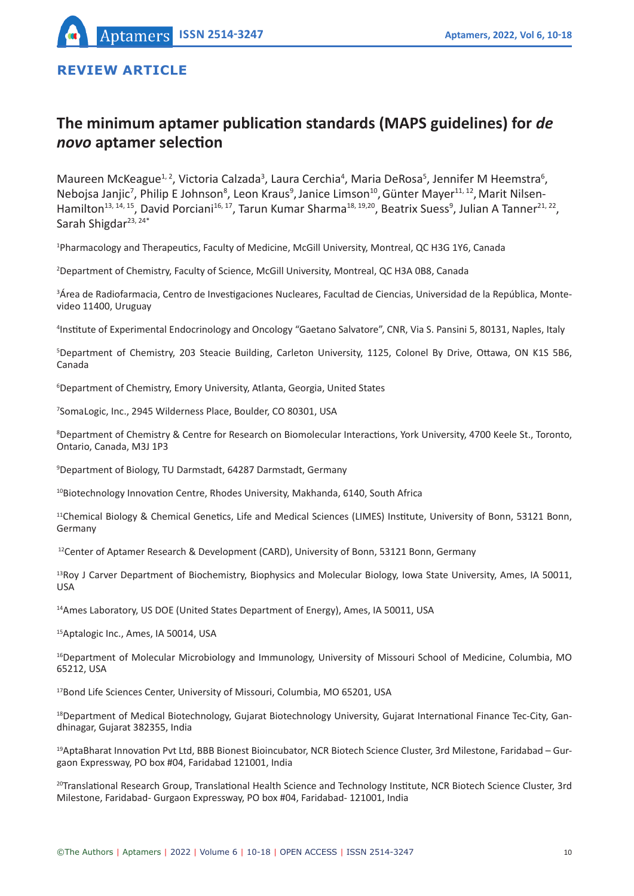# **REVIEW ARTICLE**

# **The minimum aptamer publication standards (MAPS guidelines) for** *de novo* **aptamer selection**

Maureen McKeague<sup>1, 2</sup>, Victoria Calzada<sup>3</sup>, Laura Cerchia<sup>4</sup>, Maria DeRosa<sup>5</sup>, Jennifer M Heemstra<sup>6</sup>, Nebojsa Janjic<sup>7</sup>, Philip E Johnson<sup>8</sup>, Leon Kraus<sup>9</sup>, Janice Limson<sup>10</sup>, Günter Mayer<sup>11, 12</sup>, Marit Nilsen-Hamilton<sup>13, 14, 15</sup>, David Porciani<sup>16, 17</sup>, Tarun Kumar Sharma<sup>18, 19,20</sup>, Beatrix Suess<sup>9</sup>, Julian A Tanner<sup>21, 22</sup>, Sarah Shigdar<sup>23, 24\*</sup>

1 Pharmacology and Therapeutics, Faculty of Medicine, McGill University, Montreal, QC H3G 1Y6, Canada

2 Department of Chemistry, Faculty of Science, McGill University, Montreal, QC H3A 0B8, Canada

3 Área de Radiofarmacia, Centro de Investigaciones Nucleares, Facultad de Ciencias, Universidad de la República, Montevideo 11400, Uruguay

4 Institute of Experimental Endocrinology and Oncology "Gaetano Salvatore", CNR, Via S. Pansini 5, 80131, Naples, Italy

5 Department of Chemistry, 203 Steacie Building, Carleton University, 1125, Colonel By Drive, Ottawa, ON K1S 5B6, Canada

6 Department of Chemistry, Emory University, Atlanta, Georgia, United States

7 SomaLogic, Inc., 2945 Wilderness Place, Boulder, CO 80301, USA

8 Department of Chemistry & Centre for Research on Biomolecular Interactions, York University, 4700 Keele St., Toronto, Ontario, Canada, M3J 1P3

9 Department of Biology, TU Darmstadt, 64287 Darmstadt, Germany

10Biotechnology Innovation Centre, Rhodes University, Makhanda, 6140, South Africa

<sup>11</sup>Chemical Biology & Chemical Genetics, Life and Medical Sciences (LIMES) Institute, University of Bonn, 53121 Bonn, Germany

<sup>12</sup>Center of Aptamer Research & Development (CARD), University of Bonn, 53121 Bonn, Germany

 $13Roy$  J Carver Department of Biochemistry, Biophysics and Molecular Biology, Iowa State University, Ames, IA 50011, USA

<sup>14</sup>Ames Laboratory, US DOE (United States Department of Energy), Ames, IA 50011, USA

15Aptalogic Inc., Ames, IA 50014, USA

<sup>16</sup>Department of Molecular Microbiology and Immunology, University of Missouri School of Medicine, Columbia, MO 65212, USA

<sup>17</sup>Bond Life Sciences Center, University of Missouri, Columbia, MO 65201, USA

<sup>18</sup>Department of Medical Biotechnology, Gujarat Biotechnology University, Gujarat International Finance Tec-City, Gandhinagar, Gujarat 382355, India

<sup>19</sup>AptaBharat Innovation Pvt Ltd, BBB Bionest Bioincubator, NCR Biotech Science Cluster, 3rd Milestone, Faridabad - Gurgaon Expressway, PO box #04, Faridabad 121001, India

<sup>20</sup>Translational Research Group, Translational Health Science and Technology Institute, NCR Biotech Science Cluster, 3rd Milestone, Faridabad- Gurgaon Expressway, PO box #04, Faridabad- 121001, India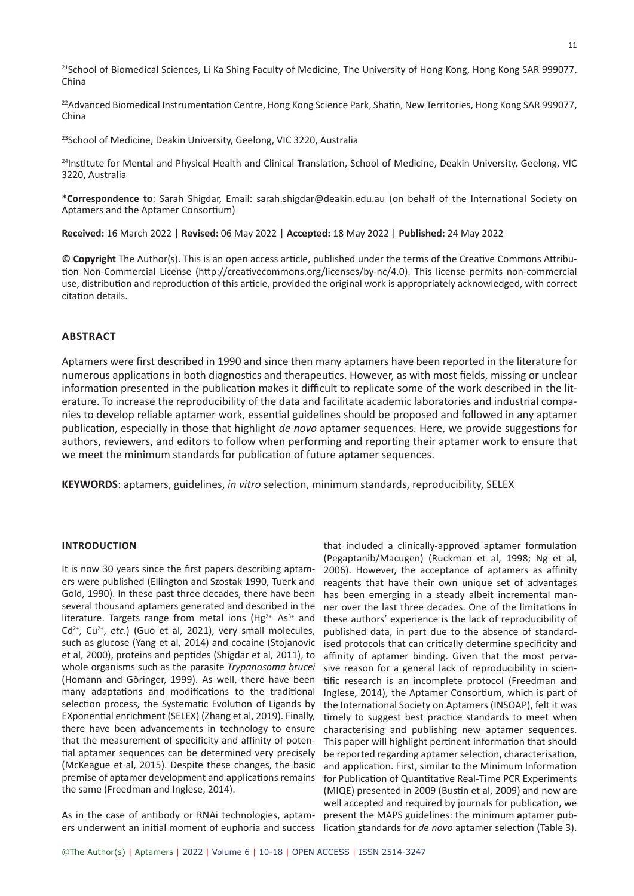<sup>21</sup>School of Biomedical Sciences, Li Ka Shing Faculty of Medicine, The University of Hong Kong, Hong Kong SAR 999077, China

<sup>22</sup>Advanced Biomedical Instrumentation Centre, Hong Kong Science Park, Shatin, New Territories, Hong Kong SAR 999077, China

<sup>23</sup>School of Medicine, Deakin University, Geelong, VIC 3220, Australia

<sup>24</sup>Institute for Mental and Physical Health and Clinical Translation, School of Medicine, Deakin University, Geelong, VIC 3220, Australia

\***Correspondence to**: Sarah Shigdar, Email: sarah.shigdar@deakin.edu.au (on behalf of the International Society on Aptamers and the Aptamer Consortium)

**Received:** 16 March 2022 | **Revised:** 06 May 2022 | **Accepted:** 18 May 2022 | **Published:** 24 May 2022

**© Copyright** The Author(s). This is an open access article, published under the terms of the Creative Commons Attribution Non-Commercial License (http://creativecommons.org/licenses/by-nc/4.0). This license permits non-commercial use, distribution and reproduction of this article, provided the original work is appropriately acknowledged, with correct citation details.

#### **ABSTRACT**

Aptamers were first described in 1990 and since then many aptamers have been reported in the literature for numerous applications in both diagnostics and therapeutics. However, as with most fields, missing or unclear information presented in the publication makes it difficult to replicate some of the work described in the literature. To increase the reproducibility of the data and facilitate academic laboratories and industrial companies to develop reliable aptamer work, essential guidelines should be proposed and followed in any aptamer publication, especially in those that highlight *de novo* aptamer sequences. Here, we provide suggestions for authors, reviewers, and editors to follow when performing and reporting their aptamer work to ensure that we meet the minimum standards for publication of future aptamer sequences.

**KEYWORDS**: aptamers, guidelines, *in vitro* selection, minimum standards, reproducibility, SELEX

#### **INTRODUCTION**

It is now 30 years since the first papers describing aptamers were published (Ellington and Szostak 1990, Tuerk and Gold, 1990). In these past three decades, there have been several thousand aptamers generated and described in the literature. Targets range from metal ions ( $Hg^{2+}$ , As<sup>3+</sup> and Cd<sup>2+</sup>, Cu<sup>2+</sup>, etc.) (Guo et al, 2021), very small molecules, such as glucose (Yang et al, 2014) and cocaine (Stojanovic et al, 2000), proteins and peptides (Shigdar et al, 2011), to whole organisms such as the parasite *Trypanosoma brucei* (Homann and Göringer, 1999). As well, there have been many adaptations and modifications to the traditional selection process, the Systematic Evolution of Ligands by EXponential enrichment (SELEX) (Zhang et al, 2019). Finally, there have been advancements in technology to ensure that the measurement of specificity and affinity of potential aptamer sequences can be determined very precisely (McKeague et al, 2015). Despite these changes, the basic premise of aptamer development and applications remains the same (Freedman and Inglese, 2014).

As in the case of antibody or RNAi technologies, aptam-present the MAPS guidelines: the **m**inimum **a**ptamer **p**ubers underwent an initial moment of euphoria and success lication **s**tandards for *de novo* aptamer selection (Table 3).

that included a clinically-approved aptamer formulation (Pegaptanib/Macugen) (Ruckman et al, 1998; Ng et al, 2006). However, the acceptance of aptamers as affinity reagents that have their own unique set of advantages has been emerging in a steady albeit incremental manner over the last three decades. One of the limitations in these authors' experience is the lack of reproducibility of published data, in part due to the absence of standardised protocols that can critically determine specificity and affinity of aptamer binding. Given that the most pervasive reason for a general lack of reproducibility in scientific research is an incomplete protocol (Freedman and Inglese, 2014), the Aptamer Consortium, which is part of the International Society on Aptamers (INSOAP), felt it was timely to suggest best practice standards to meet when characterising and publishing new aptamer sequences. This paper will highlight pertinent information that should be reported regarding aptamer selection, characterisation, and application. First, similar to the Minimum Information for Publication of Quantitative Real-Time PCR Experiments (MIQE) presented in 2009 (Bustin et al, 2009) and now are well accepted and required by journals for publication, we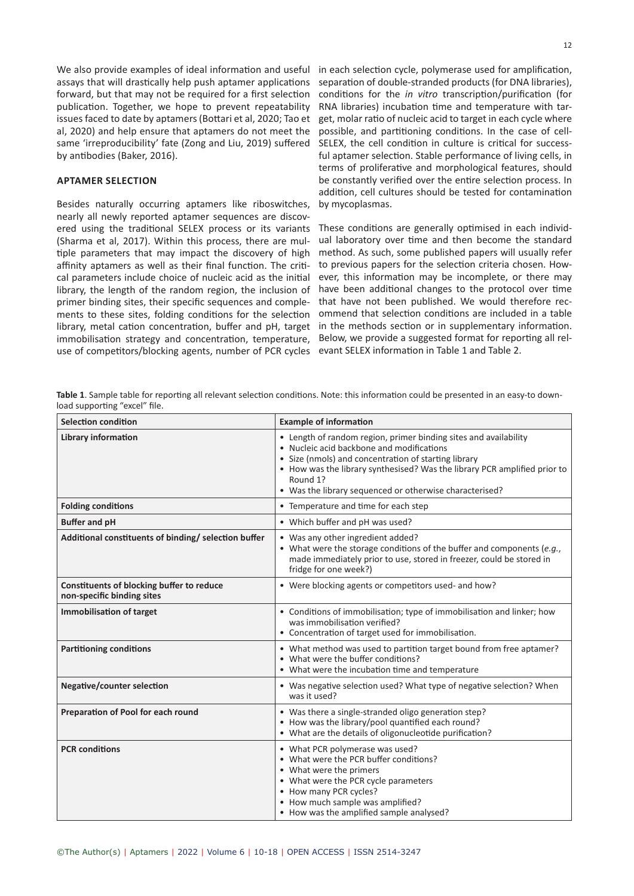forward, but that may not be required for a first selection publication. Together, we hope to prevent repeatability issues faced to date by aptamers (Bottari et al, 2020; Tao et al, 2020) and help ensure that aptamers do not meet the same 'irreproducibility' fate (Zong and Liu, 2019) suffered by antibodies (Baker, 2016).

# **APTAMER SELECTION**

Besides naturally occurring aptamers like riboswitches, nearly all newly reported aptamer sequences are discovered using the traditional SELEX process or its variants (Sharma et al, 2017). Within this process, there are multiple parameters that may impact the discovery of high affinity aptamers as well as their final function. The critical parameters include choice of nucleic acid as the initial library, the length of the random region, the inclusion of primer binding sites, their specific sequences and complements to these sites, folding conditions for the selection library, metal cation concentration, buffer and pH, target immobilisation strategy and concentration, temperature, use of competitors/blocking agents, number of PCR cycles

We also provide examples of ideal information and useful in each selection cycle, polymerase used for amplification, assays that will drastically help push aptamer applications separation of double-stranded products (for DNA libraries), conditions for the *in vitro* transcription/purification (for RNA libraries) incubation time and temperature with target, molar ratio of nucleic acid to target in each cycle where possible, and partitioning conditions. In the case of cell-SELEX, the cell condition in culture is critical for successful aptamer selection. Stable performance of living cells, in terms of proliferative and morphological features, should be constantly verified over the entire selection process. In addition, cell cultures should be tested for contamination by mycoplasmas.

> These conditions are generally optimised in each individual laboratory over time and then become the standard method. As such, some published papers will usually refer to previous papers for the selection criteria chosen. However, this information may be incomplete, or there may have been additional changes to the protocol over time that have not been published. We would therefore recommend that selection conditions are included in a table in the methods section or in supplementary information. Below, we provide a suggested format for reporting all relevant SELEX information in Table 1 and Table 2.

**Table 1**. Sample table for reporting all relevant selection conditions. Note: this information could be presented in an easy-to download supporting "excel" file.

| Selection condition                                                     | <b>Example of information</b>                                                                                                                                                                                                                                                                                             |
|-------------------------------------------------------------------------|---------------------------------------------------------------------------------------------------------------------------------------------------------------------------------------------------------------------------------------------------------------------------------------------------------------------------|
| <b>Library information</b>                                              | • Length of random region, primer binding sites and availability<br>• Nucleic acid backbone and modifications<br>• Size (nmols) and concentration of starting library<br>• How was the library synthesised? Was the library PCR amplified prior to<br>Round 1?<br>• Was the library sequenced or otherwise characterised? |
| <b>Folding conditions</b>                                               | • Temperature and time for each step                                                                                                                                                                                                                                                                                      |
| <b>Buffer and pH</b>                                                    | • Which buffer and pH was used?                                                                                                                                                                                                                                                                                           |
| Additional constituents of binding/ selection buffer                    | • Was any other ingredient added?<br>• What were the storage conditions of the buffer and components (e.g.,<br>made immediately prior to use, stored in freezer, could be stored in<br>fridge for one week?)                                                                                                              |
| Constituents of blocking buffer to reduce<br>non-specific binding sites | • Were blocking agents or competitors used- and how?                                                                                                                                                                                                                                                                      |
| <b>Immobilisation of target</b>                                         | • Conditions of immobilisation; type of immobilisation and linker; how<br>was immobilisation verified?<br>• Concentration of target used for immobilisation.                                                                                                                                                              |
| <b>Partitioning conditions</b>                                          | • What method was used to partition target bound from free aptamer?<br>• What were the buffer conditions?<br>• What were the incubation time and temperature                                                                                                                                                              |
| <b>Negative/counter selection</b>                                       | • Was negative selection used? What type of negative selection? When<br>was it used?                                                                                                                                                                                                                                      |
| Preparation of Pool for each round                                      | • Was there a single-stranded oligo generation step?<br>• How was the library/pool quantified each round?<br>• What are the details of oligonucleotide purification?                                                                                                                                                      |
| <b>PCR</b> conditions                                                   | • What PCR polymerase was used?<br>• What were the PCR buffer conditions?<br>• What were the primers<br>• What were the PCR cycle parameters<br>• How many PCR cycles?<br>• How much sample was amplified?<br>• How was the amplified sample analysed?                                                                    |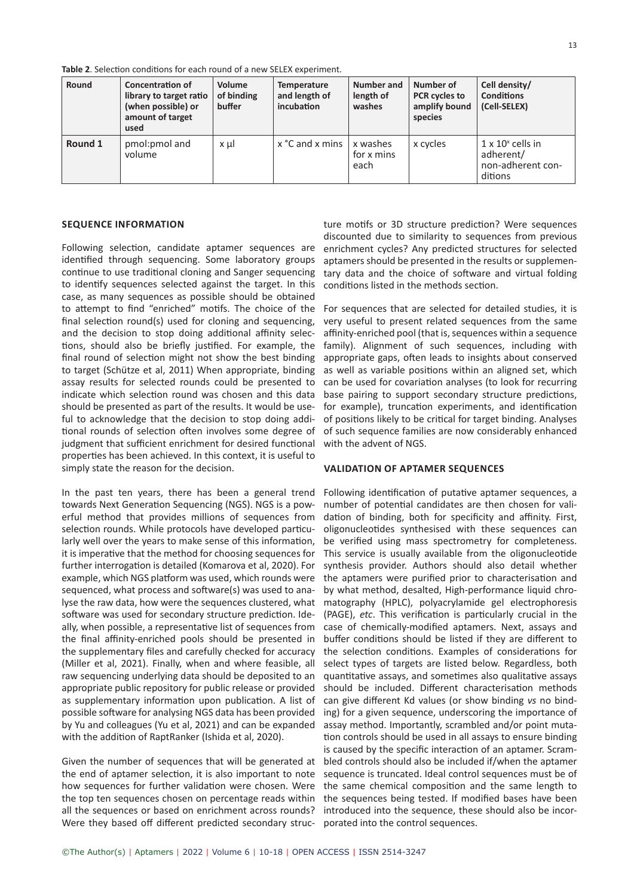**Table 2**. Selection conditions for each round of a new SELEX experiment.

| Round   | <b>Concentration of</b><br>library to target ratio<br>(when possible) or<br>amount of target<br>used | Volume<br>of binding<br>buffer | Temperature<br>and length of<br>incubation | Number and<br>length of<br>washes | Number of<br><b>PCR</b> cycles to<br>amplify bound<br>species | Cell density/<br><b>Conditions</b><br>(Cell-SELEX)                    |
|---------|------------------------------------------------------------------------------------------------------|--------------------------------|--------------------------------------------|-----------------------------------|---------------------------------------------------------------|-----------------------------------------------------------------------|
| Round 1 | pmol:pmol and<br>volume                                                                              | χμl                            | x °C and x mins                            | x washes<br>for x mins<br>each    | x cycles                                                      | $1 \times 10^x$ cells in<br>adherent/<br>non-adherent con-<br>ditions |

#### **SEQUENCE INFORMATION**

Following selection, candidate aptamer sequences are identified through sequencing. Some laboratory groups continue to use traditional cloning and Sanger sequencing to identify sequences selected against the target. In this case, as many sequences as possible should be obtained to attempt to find "enriched" motifs. The choice of the final selection round(s) used for cloning and sequencing, and the decision to stop doing additional affinity selections, should also be briefly justified. For example, the final round of selection might not show the best binding to target (Schütze et al, 2011) When appropriate, binding assay results for selected rounds could be presented to indicate which selection round was chosen and this data should be presented as part of the results. It would be useful to acknowledge that the decision to stop doing additional rounds of selection often involves some degree of judgment that sufficient enrichment for desired functional properties has been achieved. In this context, it is useful to simply state the reason for the decision.

In the past ten years, there has been a general trend towards Next Generation Sequencing (NGS). NGS is a powerful method that provides millions of sequences from selection rounds. While protocols have developed particularly well over the years to make sense of this information, it is imperative that the method for choosing sequences for further interrogation is detailed (Komarova et al, 2020). For example, which NGS platform was used, which rounds were sequenced, what process and software(s) was used to analyse the raw data, how were the sequences clustered, what software was used for secondary structure prediction. Ideally, when possible, a representative list of sequences from the final affinity-enriched pools should be presented in the supplementary files and carefully checked for accuracy (Miller et al, 2021). Finally, when and where feasible, all raw sequencing underlying data should be deposited to an appropriate public repository for public release or provided as supplementary information upon publication. A list of possible software for analysing NGS data has been provided by Yu and colleagues (Yu et al, 2021) and can be expanded with the addition of RaptRanker (Ishida et al, 2020).

Given the number of sequences that will be generated at the end of aptamer selection, it is also important to note how sequences for further validation were chosen. Were the top ten sequences chosen on percentage reads within all the sequences or based on enrichment across rounds? Were they based off different predicted secondary struc-

ture motifs or 3D structure prediction? Were sequences discounted due to similarity to sequences from previous enrichment cycles? Any predicted structures for selected aptamers should be presented in the results or supplementary data and the choice of software and virtual folding conditions listed in the methods section.

For sequences that are selected for detailed studies, it is very useful to present related sequences from the same affinity-enriched pool (that is, sequences within a sequence family). Alignment of such sequences, including with appropriate gaps, often leads to insights about conserved as well as variable positions within an aligned set, which can be used for covariation analyses (to look for recurring base pairing to support secondary structure predictions, for example), truncation experiments, and identification of positions likely to be critical for target binding. Analyses of such sequence families are now considerably enhanced with the advent of NGS.

# **VALIDATION OF APTAMER SEQUENCES**

Following identification of putative aptamer sequences, a number of potential candidates are then chosen for validation of binding, both for specificity and affinity. First, oligonucleotides synthesised with these sequences can be verified using mass spectrometry for completeness. This service is usually available from the oligonucleotide synthesis provider. Authors should also detail whether the aptamers were purified prior to characterisation and by what method, desalted, High-performance liquid chromatography (HPLC), polyacrylamide gel electrophoresis (PAGE), *etc*. This verification is particularly crucial in the case of chemically-modified aptamers. Next, assays and buffer conditions should be listed if they are different to the selection conditions. Examples of considerations for select types of targets are listed below. Regardless, both quantitative assays, and sometimes also qualitative assays should be included. Different characterisation methods can give different Kd values (or show binding *vs* no binding) for a given sequence, underscoring the importance of assay method. Importantly, scrambled and/or point mutation controls should be used in all assays to ensure binding is caused by the specific interaction of an aptamer. Scrambled controls should also be included if/when the aptamer sequence is truncated. Ideal control sequences must be of the same chemical composition and the same length to the sequences being tested. If modified bases have been introduced into the sequence, these should also be incorporated into the control sequences.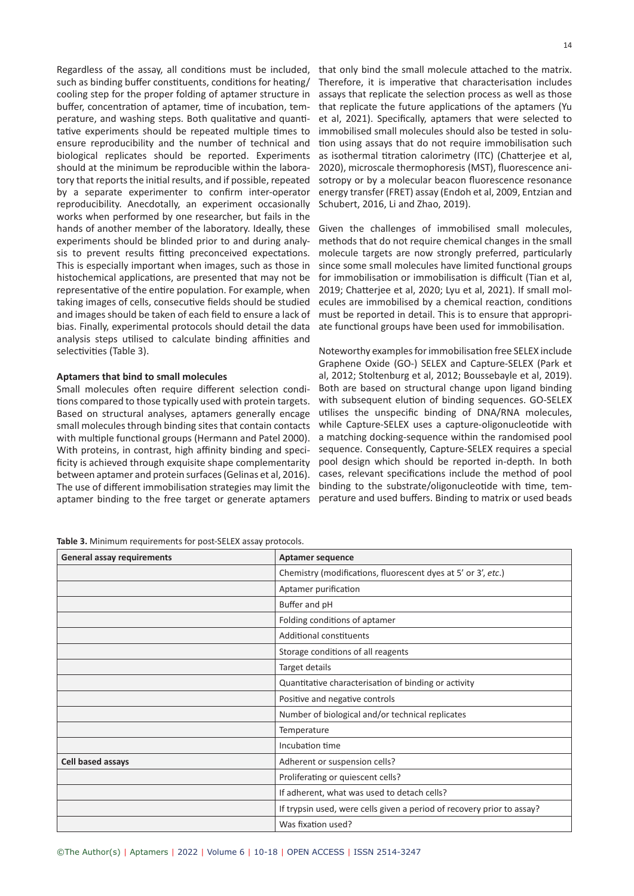Regardless of the assay, all conditions must be included, such as binding buffer constituents, conditions for heating/ cooling step for the proper folding of aptamer structure in buffer, concentration of aptamer, time of incubation, temperature, and washing steps. Both qualitative and quantitative experiments should be repeated multiple times to ensure reproducibility and the number of technical and biological replicates should be reported. Experiments should at the minimum be reproducible within the laboratory that reports the initial results, and if possible, repeated by a separate experimenter to confirm inter-operator reproducibility. Anecdotally, an experiment occasionally works when performed by one researcher, but fails in the hands of another member of the laboratory. Ideally, these experiments should be blinded prior to and during analysis to prevent results fitting preconceived expectations. This is especially important when images, such as those in histochemical applications, are presented that may not be representative of the entire population. For example, when taking images of cells, consecutive fields should be studied and images should be taken of each field to ensure a lack of bias. Finally, experimental protocols should detail the data analysis steps utilised to calculate binding affinities and selectivities (Table 3).

# **Aptamers that bind to small molecules**

Small molecules often require different selection conditions compared to those typically used with protein targets. Based on structural analyses, aptamers generally encage small molecules through binding sites that contain contacts with multiple functional groups (Hermann and Patel 2000). With proteins, in contrast, high affinity binding and specificity is achieved through exquisite shape complementarity between aptamer and protein surfaces (Gelinas et al, 2016). The use of different immobilisation strategies may limit the aptamer binding to the free target or generate aptamers

**Table 3.** Minimum requirements for post-SELEX assay protocols.

| ©The Author(s)   Aptamers   2022   Volume 6   10-18   OPEN ACCESS   ISSN 2514-3247 |  |
|------------------------------------------------------------------------------------|--|
|------------------------------------------------------------------------------------|--|

that only bind the small molecule attached to the matrix. Therefore, it is imperative that characterisation includes assays that replicate the selection process as well as those that replicate the future applications of the aptamers (Yu et al, 2021). Specifically, aptamers that were selected to immobilised small molecules should also be tested in solution using assays that do not require immobilisation such as isothermal titration calorimetry (ITC) (Chatterjee et al, 2020), microscale thermophoresis (MST), fluorescence anisotropy or by a molecular beacon fluorescence resonance energy transfer (FRET) assay (Endoh et al, 2009, Entzian and

Given the challenges of immobilised small molecules, methods that do not require chemical changes in the small molecule targets are now strongly preferred, particularly since some small molecules have limited functional groups for immobilisation or immobilisation is difficult (Tian et al, 2019; Chatterjee et al, 2020; Lyu et al, 2021). If small molecules are immobilised by a chemical reaction, conditions must be reported in detail. This is to ensure that appropriate functional groups have been used for immobilisation.

Schubert, 2016, Li and Zhao, 2019).

Noteworthy examples for immobilisation free SELEX include Graphene Oxide (GO-) SELEX and Capture-SELEX (Park et al, 2012; Stoltenburg et al, 2012; Boussebayle et al, 2019). Both are based on structural change upon ligand binding with subsequent elution of binding sequences. GO-SELEX utilises the unspecific binding of DNA/RNA molecules, while Capture-SELEX uses a capture-oligonucleotide with a matching docking-sequence within the randomised pool sequence. Consequently, Capture-SELEX requires a special pool design which should be reported in-depth. In both cases, relevant specifications include the method of pool binding to the substrate/oligonucleotide with time, temperature and used buffers. Binding to matrix or used beads

| <b>General assay requirements</b> | <b>Aptamer sequence</b>                                                |
|-----------------------------------|------------------------------------------------------------------------|
|                                   | Chemistry (modifications, fluorescent dyes at 5' or 3', etc.)          |
|                                   | Aptamer purification                                                   |
|                                   | Buffer and pH                                                          |
|                                   | Folding conditions of aptamer                                          |
|                                   | <b>Additional constituents</b>                                         |
|                                   | Storage conditions of all reagents                                     |
|                                   | Target details                                                         |
|                                   | Quantitative characterisation of binding or activity                   |
|                                   | Positive and negative controls                                         |
|                                   | Number of biological and/or technical replicates                       |
|                                   | Temperature                                                            |
|                                   | Incubation time                                                        |
| <b>Cell based assays</b>          | Adherent or suspension cells?                                          |
|                                   | Proliferating or quiescent cells?                                      |
|                                   | If adherent, what was used to detach cells?                            |
|                                   | If trypsin used, were cells given a period of recovery prior to assay? |
|                                   | Was fixation used?                                                     |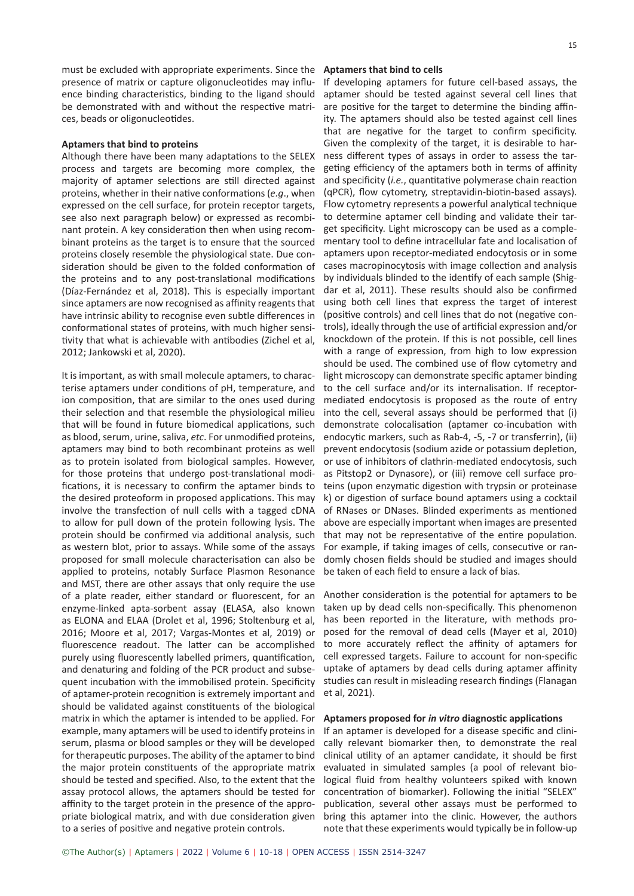must be excluded with appropriate experiments. Since the presence of matrix or capture oligonucleotides may influence binding characteristics, binding to the ligand should be demonstrated with and without the respective matrices, beads or oligonucleotides.

#### **Aptamers that bind to proteins**

Although there have been many adaptations to the SELEX process and targets are becoming more complex, the majority of aptamer selections are still directed against proteins, whether in their native conformations (*e.g*., when expressed on the cell surface, for protein receptor targets, see also next paragraph below) or expressed as recombinant protein. A key consideration then when using recombinant proteins as the target is to ensure that the sourced proteins closely resemble the physiological state. Due consideration should be given to the folded conformation of the proteins and to any post-translational modifications (Díaz-Fernández et al, 2018). This is especially important since aptamers are now recognised as affinity reagents that have intrinsic ability to recognise even subtle differences in conformational states of proteins, with much higher sensitivity that what is achievable with antibodies (Zichel et al, 2012; Jankowski et al, 2020).

It is important, as with small molecule aptamers, to characterise aptamers under conditions of pH, temperature, and ion composition, that are similar to the ones used during their selection and that resemble the physiological milieu that will be found in future biomedical applications, such as blood, serum, urine, saliva, *etc*. For unmodified proteins, aptamers may bind to both recombinant proteins as well as to protein isolated from biological samples. However, for those proteins that undergo post-translational modifications, it is necessary to confirm the aptamer binds to the desired proteoform in proposed applications. This may involve the transfection of null cells with a tagged cDNA to allow for pull down of the protein following lysis. The protein should be confirmed via additional analysis, such as western blot, prior to assays. While some of the assays proposed for small molecule characterisation can also be applied to proteins, notably Surface Plasmon Resonance and MST, there are other assays that only require the use of a plate reader, either standard or fluorescent, for an enzyme-linked apta-sorbent assay (ELASA, also known as ELONA and ELAA (Drolet et al, 1996; Stoltenburg et al, 2016; Moore et al, 2017; Vargas-Montes et al, 2019) or fluorescence readout. The latter can be accomplished purely using fluorescently labelled primers, quantification, and denaturing and folding of the PCR product and subsequent incubation with the immobilised protein. Specificity of aptamer-protein recognition is extremely important and should be validated against constituents of the biological matrix in which the aptamer is intended to be applied. For example, many aptamers will be used to identify proteins in serum, plasma or blood samples or they will be developed for therapeutic purposes. The ability of the aptamer to bind the major protein constituents of the appropriate matrix should be tested and specified. Also, to the extent that the assay protocol allows, the aptamers should be tested for affinity to the target protein in the presence of the appropriate biological matrix, and with due consideration given to a series of positive and negative protein controls.

#### **Aptamers that bind to cells**

If developing aptamers for future cell-based assays, the aptamer should be tested against several cell lines that are positive for the target to determine the binding affinity. The aptamers should also be tested against cell lines that are negative for the target to confirm specificity. Given the complexity of the target, it is desirable to harness different types of assays in order to assess the targeting efficiency of the aptamers both in terms of affinity and specificity (*i.e.*, quantitative polymerase chain reaction (qPCR), flow cytometry, streptavidin-biotin-based assays). Flow cytometry represents a powerful analytical technique to determine aptamer cell binding and validate their target specificity. Light microscopy can be used as a complementary tool to define intracellular fate and localisation of aptamers upon receptor-mediated endocytosis or in some cases macropinocytosis with image collection and analysis by individuals blinded to the identify of each sample (Shigdar et al, 2011). These results should also be confirmed using both cell lines that express the target of interest (positive controls) and cell lines that do not (negative controls), ideally through the use of artificial expression and/or knockdown of the protein. If this is not possible, cell lines with a range of expression, from high to low expression should be used. The combined use of flow cytometry and light microscopy can demonstrate specific aptamer binding to the cell surface and/or its internalisation. If receptormediated endocytosis is proposed as the route of entry into the cell, several assays should be performed that (i) demonstrate colocalisation (aptamer co-incubation with endocytic markers, such as Rab-4, -5, -7 or transferrin), (ii) prevent endocytosis (sodium azide or potassium depletion, or use of inhibitors of clathrin-mediated endocytosis, such as Pitstop2 or Dynasore), or (iii) remove cell surface proteins (upon enzymatic digestion with trypsin or proteinase k) or digestion of surface bound aptamers using a cocktail of RNases or DNases. Blinded experiments as mentioned above are especially important when images are presented that may not be representative of the entire population. For example, if taking images of cells, consecutive or randomly chosen fields should be studied and images should be taken of each field to ensure a lack of bias.

Another consideration is the potential for aptamers to be taken up by dead cells non-specifically. This phenomenon has been reported in the literature, with methods proposed for the removal of dead cells (Mayer et al, 2010) to more accurately reflect the affinity of aptamers for cell expressed targets. Failure to account for non-specific uptake of aptamers by dead cells during aptamer affinity studies can result in misleading research findings (Flanagan et al, 2021).

#### **Aptamers proposed for** *in vitro* **diagnostic applications**

If an aptamer is developed for a disease specific and clinically relevant biomarker then, to demonstrate the real clinical utility of an aptamer candidate, it should be first evaluated in simulated samples (a pool of relevant biological fluid from healthy volunteers spiked with known concentration of biomarker). Following the initial "SELEX" publication, several other assays must be performed to bring this aptamer into the clinic. However, the authors note that these experiments would typically be in follow-up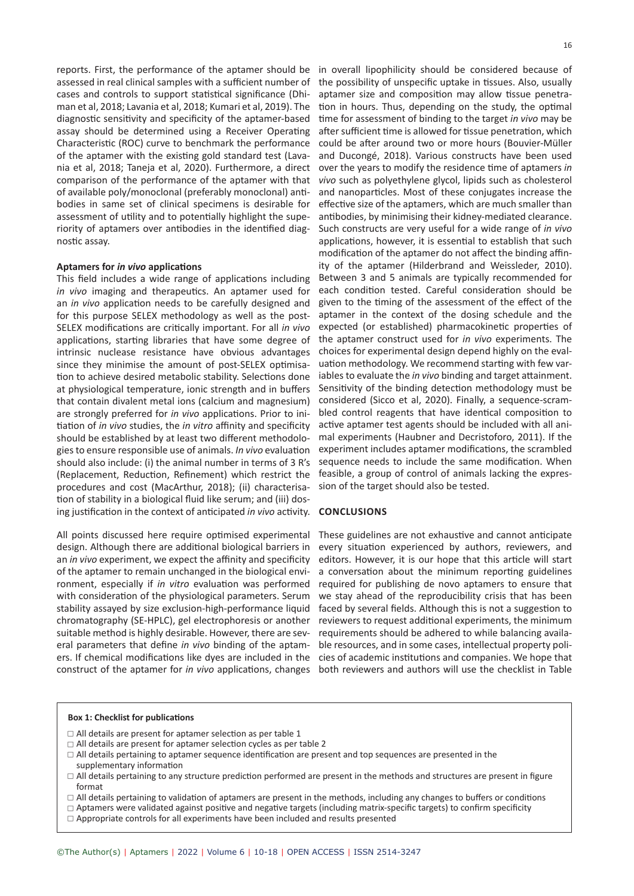assessed in real clinical samples with a sufficient number of cases and controls to support statistical significance (Dhiman et al, 2018; Lavania et al, 2018; Kumari et al, 2019). The diagnostic sensitivity and specificity of the aptamer-based assay should be determined using a Receiver Operating Characteristic (ROC) curve to benchmark the performance of the aptamer with the existing gold standard test (Lavania et al, 2018; Taneja et al, 2020). Furthermore, a direct comparison of the performance of the aptamer with that of available poly/monoclonal (preferably monoclonal) antibodies in same set of clinical specimens is desirable for assessment of utility and to potentially highlight the superiority of aptamers over antibodies in the identified diagnostic assay.

#### **Aptamers for** *in vivo* **applications**

This field includes a wide range of applications including *in vivo* imaging and therapeutics. An aptamer used for an *in vivo* application needs to be carefully designed and for this purpose SELEX methodology as well as the post-SELEX modifications are critically important. For all *in vivo* applications, starting libraries that have some degree of intrinsic nuclease resistance have obvious advantages since they minimise the amount of post-SELEX optimisation to achieve desired metabolic stability. Selections done at physiological temperature, ionic strength and in buffers that contain divalent metal ions (calcium and magnesium) are strongly preferred for *in vivo* applications. Prior to initiation of *in vivo* studies, the *in vitro* affinity and specificity should be established by at least two different methodologies to ensure responsible use of animals. *In vivo* evaluation should also include: (i) the animal number in terms of 3 R's (Replacement, Reduction, Refinement) which restrict the procedures and cost (MacArthur, 2018); (ii) characterisation of stability in a biological fluid like serum; and (iii) dosing justification in the context of anticipated *in vivo* activity.

All points discussed here require optimised experimental design. Although there are additional biological barriers in an *in vivo* experiment, we expect the affinity and specificity of the aptamer to remain unchanged in the biological environment, especially if *in vitro* evaluation was performed with consideration of the physiological parameters. Serum stability assayed by size exclusion-high-performance liquid chromatography (SE-HPLC), gel electrophoresis or another suitable method is highly desirable. However, there are several parameters that define *in vivo* binding of the aptamconstruct of the aptamer for *in vivo* applications, changes both reviewers and authors will use the checklist in Table

reports. First, the performance of the aptamer should be in overall lipophilicity should be considered because of the possibility of unspecific uptake in tissues. Also, usually aptamer size and composition may allow tissue penetration in hours. Thus, depending on the study, the optimal time for assessment of binding to the target *in vivo* may be after sufficient time is allowed for tissue penetration, which could be after around two or more hours (Bouvier-Müller and Ducongé, 2018). Various constructs have been used over the years to modify the residence time of aptamers *in vivo* such as polyethylene glycol, lipids such as cholesterol and nanoparticles. Most of these conjugates increase the effective size of the aptamers, which are much smaller than antibodies, by minimising their kidney-mediated clearance. Such constructs are very useful for a wide range of *in vivo* applications, however, it is essential to establish that such modification of the aptamer do not affect the binding affinity of the aptamer (Hilderbrand and Weissleder, 2010). Between 3 and 5 animals are typically recommended for each condition tested. Careful consideration should be given to the timing of the assessment of the effect of the aptamer in the context of the dosing schedule and the expected (or established) pharmacokinetic properties of the aptamer construct used for *in vivo* experiments. The choices for experimental design depend highly on the evaluation methodology. We recommend starting with few variables to evaluate the *in vivo* binding and target attainment. Sensitivity of the binding detection methodology must be considered (Sicco et al, 2020). Finally, a sequence-scrambled control reagents that have identical composition to active aptamer test agents should be included with all animal experiments (Haubner and Decristoforo, 2011). If the experiment includes aptamer modifications, the scrambled sequence needs to include the same modification. When feasible, a group of control of animals lacking the expression of the target should also be tested.

#### **CONCLUSIONS**

ers. If chemical modifications like dyes are included in the cies of academic institutions and companies. We hope that These guidelines are not exhaustive and cannot anticipate every situation experienced by authors, reviewers, and editors. However, it is our hope that this article will start a conversation about the minimum reporting guidelines required for publishing de novo aptamers to ensure that we stay ahead of the reproducibility crisis that has been faced by several fields. Although this is not a suggestion to reviewers to request additional experiments, the minimum requirements should be adhered to while balancing available resources, and in some cases, intellectual property poli-

### **Box 1: Checklist for publications**

- $\Box$  All details are present for aptamer selection as per table 1
- $\Box$  All details are present for aptamer selection cycles as per table 2
- All details pertaining to aptamer sequence identification are present and top sequences are presented in the supplementary information
- $\Box$  All details pertaining to any structure prediction performed are present in the methods and structures are present in figure format
- $\Box$  All details pertaining to validation of aptamers are present in the methods, including any changes to buffers or conditions
- $\Box$  Aptamers were validated against positive and negative targets (including matrix-specific targets) to confirm specificity
- $\Box$  Appropriate controls for all experiments have been included and results presented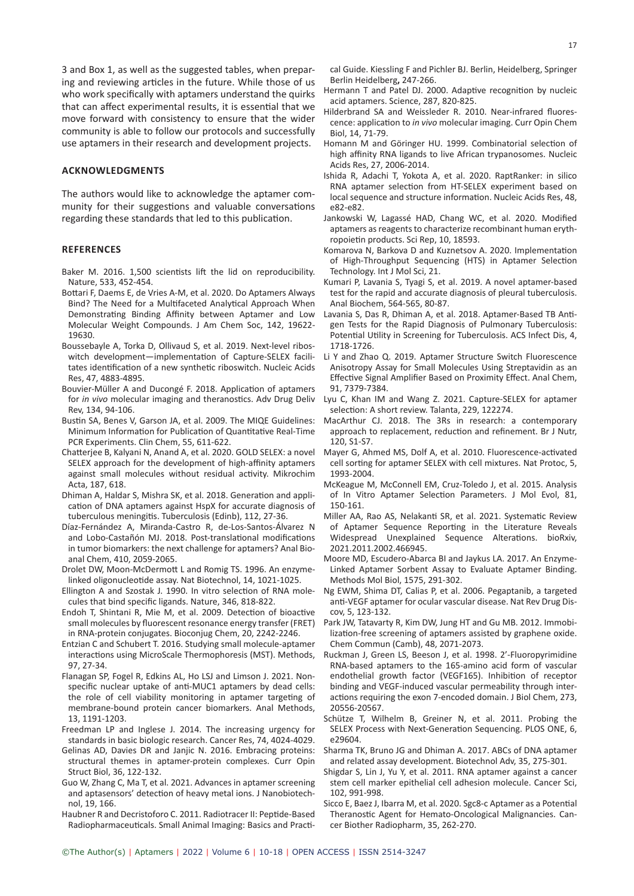3 and Box 1, as well as the suggested tables, when preparing and reviewing articles in the future. While those of us who work specifically with aptamers understand the quirks that can affect experimental results, it is essential that we move forward with consistency to ensure that the wider community is able to follow our protocols and successfully use aptamers in their research and development projects.

## **ACKNOWLEDGMENTS**

The authors would like to acknowledge the aptamer community for their suggestions and valuable conversations regarding these standards that led to this publication.

### **REFERENCES**

- Baker M. 2016. 1,500 scientists lift the lid on reproducibility. Nature, 533, 452-454.
- Bottari F, Daems E, de Vries A-M, et al. 2020. Do Aptamers Always Bind? The Need for a Multifaceted Analytical Approach When Demonstrating Binding Affinity between Aptamer and Low Molecular Weight Compounds. J Am Chem Soc, 142, 19622- 19630.
- Boussebayle A, Torka D, Ollivaud S, et al. 2019. Next-level riboswitch development—implementation of Capture-SELEX facilitates identification of a new synthetic riboswitch. Nucleic Acids Res, 47, 4883-4895.
- Bouvier-Müller A and Ducongé F. 2018. Application of aptamers for *in vivo* molecular imaging and theranostics. Adv Drug Deliv Rev, 134, 94-106.
- Bustin SA, Benes V, Garson JA, et al. 2009. The MIQE Guidelines: Minimum Information for Publication of Quantitative Real-Time PCR Experiments. Clin Chem, 55, 611-622.
- Chatterjee B, Kalyani N, Anand A, et al. 2020. GOLD SELEX: a novel SELEX approach for the development of high-affinity aptamers against small molecules without residual activity. Mikrochim Acta, 187, 618.
- Dhiman A, Haldar S, Mishra SK, et al. 2018. Generation and application of DNA aptamers against HspX for accurate diagnosis of tuberculous meningitis. Tuberculosis (Edinb), 112, 27-36.
- Díaz-Fernández A, Miranda-Castro R, de-Los-Santos-Álvarez N and Lobo-Castañón MJ. 2018. Post-translational modifications in tumor biomarkers: the next challenge for aptamers? Anal Bioanal Chem, 410, 2059-2065.
- Drolet DW, Moon-McDermott L and Romig TS. 1996. An enzymelinked oligonucleotide assay. Nat Biotechnol, 14, 1021-1025.
- Ellington A and Szostak J. 1990. In vitro selection of RNA molecules that bind specific ligands. Nature, 346, 818-822.
- Endoh T, Shintani R, Mie M, et al. 2009. Detection of bioactive small molecules by fluorescent resonance energy transfer (FRET) in RNA-protein conjugates. Bioconjug Chem, 20, 2242-2246.
- Entzian C and Schubert T. 2016. Studying small molecule-aptamer interactions using MicroScale Thermophoresis (MST). Methods, 97, 27-34.
- Flanagan SP, Fogel R, Edkins AL, Ho LSJ and Limson J. 2021. Nonspecific nuclear uptake of anti-MUC1 aptamers by dead cells: the role of cell viability monitoring in aptamer targeting of membrane-bound protein cancer biomarkers. Anal Methods, 13, 1191-1203.
- Freedman LP and Inglese J. 2014. The increasing urgency for standards in basic biologic research. Cancer Res, 74, 4024-4029.
- Gelinas AD, Davies DR and Janjic N. 2016. Embracing proteins: structural themes in aptamer-protein complexes. Curr Opin Struct Biol, 36, 122-132.
- Guo W, Zhang C, Ma T, et al. 2021. Advances in aptamer screening and aptasensors' detection of heavy metal ions. J Nanobiotechnol, 19, 166.
- Haubner R and Decristoforo C. 2011. Radiotracer II: Peptide-Based Radiopharmaceuticals. Small Animal Imaging: Basics and Practi-

cal Guide. Kiessling F and Pichler BJ. Berlin, Heidelberg, Springer Berlin Heidelberg**,** 247-266.

- Hermann T and Patel DJ. 2000. Adaptive recognition by nucleic acid aptamers. Science, 287, 820-825.
- Hilderbrand SA and Weissleder R. 2010. Near-infrared fluorescence: application to *in vivo* molecular imaging. Curr Opin Chem Biol, 14, 71-79.
- Homann M and Göringer HU. 1999. Combinatorial selection of high affinity RNA ligands to live African trypanosomes. Nucleic Acids Res, 27, 2006-2014.
- Ishida R, Adachi T, Yokota A, et al. 2020. RaptRanker: in silico RNA aptamer selection from HT-SELEX experiment based on local sequence and structure information. Nucleic Acids Res, 48, e82-e82.
- Jankowski W, Lagassé HAD, Chang WC, et al. 2020. Modified aptamers as reagents to characterize recombinant human erythropoietin products. Sci Rep, 10, 18593.
- Komarova N, Barkova D and Kuznetsov A. 2020. Implementation of High-Throughput Sequencing (HTS) in Aptamer Selection Technology. Int J Mol Sci, 21.
- Kumari P, Lavania S, Tyagi S, et al. 2019. A novel aptamer-based test for the rapid and accurate diagnosis of pleural tuberculosis. Anal Biochem, 564-565, 80-87.
- Lavania S, Das R, Dhiman A, et al. 2018. Aptamer-Based TB Antigen Tests for the Rapid Diagnosis of Pulmonary Tuberculosis: Potential Utility in Screening for Tuberculosis. ACS Infect Dis, 4, 1718-1726.
- Li Y and Zhao Q. 2019. Aptamer Structure Switch Fluorescence Anisotropy Assay for Small Molecules Using Streptavidin as an Effective Signal Amplifier Based on Proximity Effect. Anal Chem, 91, 7379-7384.
- Lyu C, Khan IM and Wang Z. 2021. Capture-SELEX for aptamer selection: A short review. Talanta, 229, 122274.
- MacArthur CJ. 2018. The 3Rs in research: a contemporary approach to replacement, reduction and refinement. Br J Nutr, 120, S1-S7.
- Mayer G, Ahmed MS, Dolf A, et al. 2010. Fluorescence-activated cell sorting for aptamer SELEX with cell mixtures. Nat Protoc, 5, 1993-2004.
- McKeague M, McConnell EM, Cruz-Toledo J, et al. 2015. Analysis of In Vitro Aptamer Selection Parameters. J Mol Evol, 81, 150-161.
- Miller AA, Rao AS, Nelakanti SR, et al. 2021. Systematic Review of Aptamer Sequence Reporting in the Literature Reveals Widespread Unexplained Sequence Alterations. bioRxiv, 2021.2011.2002.466945.
- Moore MD, Escudero-Abarca BI and Jaykus LA. 2017. An Enzyme-Linked Aptamer Sorbent Assay to Evaluate Aptamer Binding. Methods Mol Biol, 1575, 291-302.
- Ng EWM, Shima DT, Calias P, et al. 2006. Pegaptanib, a targeted anti-VEGF aptamer for ocular vascular disease. Nat Rev Drug Discov, 5, 123-132.
- Park JW, Tatavarty R, Kim DW, Jung HT and Gu MB. 2012. Immobilization-free screening of aptamers assisted by graphene oxide. Chem Commun (Camb), 48, 2071-2073.
- Ruckman J, Green LS, Beeson J, et al. 1998. 2'-Fluoropyrimidine RNA-based aptamers to the 165-amino acid form of vascular endothelial growth factor (VEGF165). Inhibition of receptor binding and VEGF-induced vascular permeability through interactions requiring the exon 7-encoded domain. J Biol Chem, 273, 20556-20567.
- Schütze T, Wilhelm B, Greiner N, et al. 2011. Probing the SELEX Process with Next-Generation Sequencing. PLOS ONE, 6, e29604.
- Sharma TK, Bruno JG and Dhiman A. 2017. ABCs of DNA aptamer and related assay development. Biotechnol Adv, 35, 275-301.
- Shigdar S, Lin J, Yu Y, et al. 2011. RNA aptamer against a cancer stem cell marker epithelial cell adhesion molecule. Cancer Sci, 102, 991-998.
- Sicco E, Baez J, Ibarra M, et al. 2020. Sgc8-c Aptamer as a Potential Theranostic Agent for Hemato-Oncological Malignancies. Cancer Biother Radiopharm, 35, 262-270.